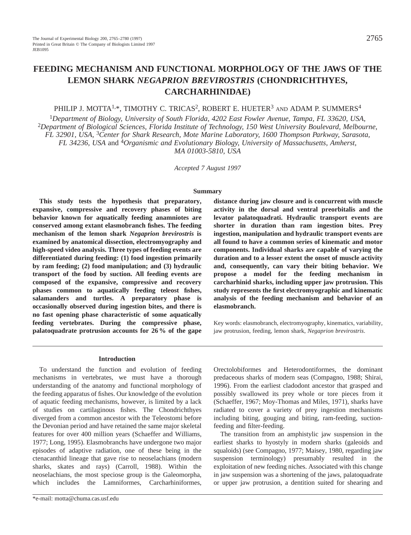# **FEEDING MECHANISM AND FUNCTIONAL MORPHOLOGY OF THE JAWS OF THE LEMON SHARK** *NEGAPRION BREVIROSTRIS* **(CHONDRICHTHYES, CARCHARHINIDAE)**

# PHILIP J. MOTTA<sup>1,\*</sup>, TIMOTHY C. TRICAS<sup>2</sup>, ROBERT E. HUETER<sup>3</sup> AND ADAM P. SUMMERS<sup>4</sup>

<sup>1</sup>*Department of Biology, University of South Florida, 4202 East Fowler Avenue, Tampa, FL 33620, USA,* <sup>2</sup>*Department of Biological Sciences, Florida Institute of Technology, 150 West University Boulevard, Melbourne, FL 32901, USA,* 3*Center for Shark Research, Mote Marine Laboratory, 1600 Thompson Parkway, Sarasota, FL 34236, USA* and 4*Organismic and Evolutionary Biology, University of Massachusetts, Amherst, MA 01003-5810, USA*

*Accepted 7 August 1997*

## **Summary**

**This study tests the hypothesis that preparatory, expansive, compressive and recovery phases of biting behavior known for aquatically feeding anamniotes are conserved among extant elasmobranch fishes. The feeding mechanism of the lemon shark** *Negaprion brevirostris* **is examined by anatomical dissection, electromyography and high-speed video analysis. Three types of feeding events are differentiated during feeding: (1) food ingestion primarily by ram feeding; (2) food manipulation; and (3) hydraulic transport of the food by suction. All feeding events are composed of the expansive, compressive and recovery phases common to aquatically feeding teleost fishes, salamanders and turtles. A preparatory phase is occasionally observed during ingestion bites, and there is no fast opening phase characteristic of some aquatically feeding vertebrates. During the compressive phase, palatoquadrate protrusion accounts for 26 % of the gape**

**distance during jaw closure and is concurrent with muscle activity in the dorsal and ventral preorbitalis and the levator palatoquadrati. Hydraulic transport events are shorter in duration than ram ingestion bites. Prey ingestion, manipulation and hydraulic transport events are all found to have a common series of kinematic and motor components. Individual sharks are capable of varying the duration and to a lesser extent the onset of muscle activity and, consequently, can vary their biting behavior. We propose a model for the feeding mechanism in carcharhinid sharks, including upper jaw protrusion. This study represents the first electromyographic and kinematic analysis of the feeding mechanism and behavior of an elasmobranch.**

Key words: elasmobranch, electromyography, kinematics, variability, jaw protrusion, feeding, lemon shark, *Negaprion brevirostris*.

### **Introduction**

To understand the function and evolution of feeding mechanisms in vertebrates, we must have a thorough understanding of the anatomy and functional morphology of the feeding apparatus of fishes. Our knowledge of the evolution of aquatic feeding mechanisms, however, is limited by a lack of studies on cartilaginous fishes. The Chondrichthyes diverged from a common ancestor with the Teleostomi before the Devonian period and have retained the same major skeletal features for over 400 million years (Schaeffer and Williams, 1977; Long, 1995). Elasmobranchs have undergone two major episodes of adaptive radiation, one of these being in the ctenacanthid lineage that gave rise to neoselachians (modern sharks, skates and rays) (Carroll, 1988). Within the neoselachians, the most speciose group is the Galeomorpha, which includes the Lamniformes, Carcharhiniformes,

Orectolobiformes and Heterodontiformes, the dominant predaceous sharks of modern seas (Compagno, 1988; Shirai, 1996). From the earliest cladodont ancestor that grasped and possibly swallowed its prey whole or tore pieces from it (Schaeffer, 1967; Moy-Thomas and Miles, 1971), sharks have radiated to cover a variety of prey ingestion mechanisms including biting, gouging and biting, ram-feeding, suctionfeeding and filter-feeding.

The transition from an amphistylic jaw suspension in the earliest sharks to hyostyly in modern sharks (galeoids and squaloids) (see Compagno, 1977; Maisey, 1980, regarding jaw suspension terminology) presumably resulted in the exploitation of new feeding niches. Associated with this change in jaw suspension was a shortening of the jaws, palatoquadrate or upper jaw protrusion, a dentition suited for shearing and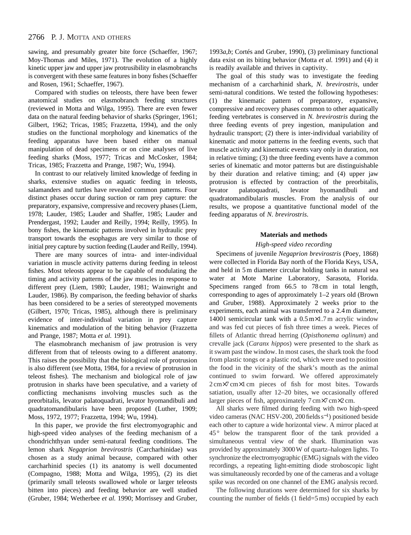sawing, and presumably greater bite force (Schaeffer, 1967; Moy-Thomas and Miles, 1971). The evolution of a highly kinetic upper jaw and upper jaw protrusibility in elasmobranchs is convergent with these same features in bony fishes (Schaeffer and Rosen, 1961; Schaeffer, 1967).

Compared with studies on teleosts, there have been fewer anatomical studies on elasmobranch feeding structures (reviewed in Motta and Wilga, 1995). There are even fewer data on the natural feeding behavior of sharks (Springer, 1961; Gilbert, 1962; Tricas, 1985; Frazzetta, 1994), and the only studies on the functional morphology and kinematics of the feeding apparatus have been based either on manual manipulation of dead specimens or on cine analyses of live feeding sharks (Moss, 1977; Tricas and McCosker, 1984; Tricas, 1985; Frazzetta and Prange, 1987; Wu, 1994).

In contrast to our relatively limited knowledge of feeding in sharks, extensive studies on aquatic feeding in teleosts, salamanders and turtles have revealed common patterns. Four distinct phases occur during suction or ram prey capture: the preparatory, expansive, compressive and recovery phases (Liem, 1978; Lauder, 1985; Lauder and Shaffer, 1985; Lauder and Prendergast, 1992; Lauder and Reilly, 1994; Reilly, 1995). In bony fishes, the kinematic patterns involved in hydraulic prey transport towards the esophagus are very similar to those of initial prey capture by suction feeding (Lauder and Reilly, 1994).

There are many sources of intra- and inter-individual variation in muscle activity patterns during feeding in teleost fishes. Most teleosts appear to be capable of modulating the timing and activity patterns of the jaw muscles in response to different prey (Liem, 1980; Lauder, 1981; Wainwright and Lauder, 1986). By comparison, the feeding behavior of sharks has been considered to be a series of stereotyped movements (Gilbert, 1970; Tricas, 1985), although there is preliminary evidence of inter-individual variation in prey capture kinematics and modulation of the biting behavior (Frazzetta and Prange, 1987; Motta *et al.* 1991).

The elasmobranch mechanism of jaw protrusion is very different from that of teleosts owing to a different anatomy. This raises the possibility that the biological role of protrusion is also different (see Motta, 1984, for a review of protrusion in teleost fishes). The mechanism and biological role of jaw protrusion in sharks have been speculative, and a variety of conflicting mechanisms involving muscles such as the preorbitalis, levator palatoquadrati, levator hyomandibuli and quadratomandibularis have been proposed (Luther, 1909; Moss, 1972, 1977; Frazzetta, 1994; Wu, 1994).

In this paper, we provide the first electromyographic and high-speed video analyses of the feeding mechanism of a chondrichthyan under semi-natural feeding conditions. The lemon shark *Negaprion brevirostris* (Carcharhinidae) was chosen as a study animal because, compared with other carcharhinid species (1) its anatomy is well documented (Compagno, 1988; Motta and Wilga, 1995), (2) its diet (primarily small teleosts swallowed whole or larger teleosts bitten into pieces) and feeding behavior are well studied (Gruber, 1984; Wetherbee *et al.* 1990; Morrissey and Gruber,

1993*a*,*b*; Cortés and Gruber, 1990), (3) preliminary functional data exist on its biting behavior (Motta *et al.* 1991) and (4) it is readily available and thrives in captivity.

The goal of this study was to investigate the feeding mechanism of a carcharhinid shark, *N. brevirostris*, under semi-natural conditions. We tested the following hypotheses: (1) the kinematic pattern of preparatory, expansive, compressive and recovery phases common to other aquatically feeding vertebrates is conserved in *N. brevirostris* during the three feeding events of prey ingestion, manipulation and hydraulic transport; (2) there is inter-individual variability of kinematic and motor patterns in the feeding events, such that muscle activity and kinematic events vary only in duration, not in relative timing; (3) the three feeding events have a common series of kinematic and motor patterns but are distinguishable by their duration and relative timing; and (4) upper jaw protrusion is effected by contraction of the preorbitalis, levator palatoquadrati, levator hyomandibuli and quadratomandibularis muscles. From the analysis of our results, we propose a quantitative functional model of the feeding apparatus of *N. brevirostris*.

### **Materials and methods**

# *High-speed video recording*

Specimens of juvenile *Negaprion brevirostris* (Poey, 1868) were collected in Florida Bay north of the Florida Keys, USA, and held in 5 m diameter circular holding tanks in natural sea water at Mote Marine Laboratory, Sarasota, Florida. Specimens ranged from 66.5 to 78 cm in total length, corresponding to ages of approximately 1–2 years old (Brown and Gruber, 1988). Approximately 2 weeks prior to the experiments, each animal was transferred to a 2.4 m diameter, 14001 semicircular tank with a  $0.5 \text{ m} \times 1.7 \text{ m}$  acrylic window and was fed cut pieces of fish three times a week. Pieces of fillets of Atlantic thread herring (*Opisthonema oglinum*) and crevalle jack (*Caranx hippos*) were presented to the shark as it swam past the window. In most cases, the shark took the food from plastic tongs or a plastic rod, which were used to position the food in the vicinity of the shark's mouth as the animal continued to swim forward. We offered approximately 2 cm×7 cm×1 cm pieces of fish for most bites. Towards satiation, usually after 12–20 bites, we occasionally offered larger pieces of fish, approximately 7 cm×7 cm×2 cm.

All sharks were filmed during feeding with two high-speed video cameras (NAC HSV-200, 200 fields s<sup>-1</sup>) positioned beside each other to capture a wide horizontal view. A mirror placed at 45° below the transparent floor of the tank provided a simultaneous ventral view of the shark. Illumination was provided by approximately 3000W of quartz–halogen lights. To synchronize the electromyographic (EMG) signals with the video recordings, a repeating light-emitting diode stroboscopic light was simultaneously recorded by one of the cameras and a voltage spike was recorded on one channel of the EMG analysis record.

The following durations were determined for six sharks by counting the number of fields (1 field=5 ms) occupied by each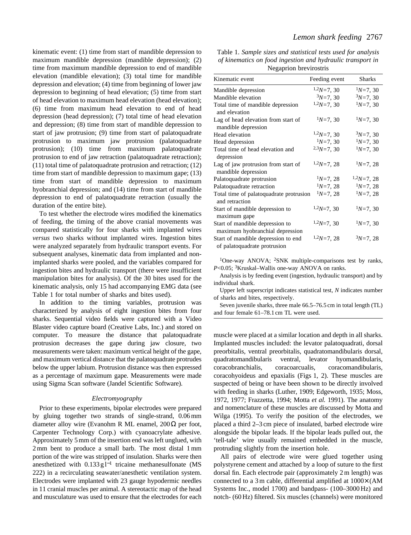kinematic event: (1) time from start of mandible depression to maximum mandible depression (mandible depression); (2) time from maximum mandible depression to end of mandible elevation (mandible elevation); (3) total time for mandible depression and elevation; (4) time from beginning of lower jaw depression to beginning of head elevation; (5) time from start of head elevation to maximum head elevation (head elevation); (6) time from maximum head elevation to end of head depression (head depression); (7) total time of head elevation and depression; (8) time from start of mandible depression to start of jaw protrusion; (9) time from start of palatoquadrate protrusion to maximum jaw protrusion (palatoquadrate protrusion); (10) time from maximum palatoquadrate protrusion to end of jaw retraction (palatoquadrate retraction); (11) total time of palatoquadrate protrusion and retraction; (12) time from start of mandible depression to maximum gape; (13) time from start of mandible depression to maximum hyobranchial depression; and (14) time from start of mandible depression to end of palatoquadrate retraction (usually the duration of the entire bite).

To test whether the electrode wires modified the kinematics of feeding, the timing of the above cranial movements was compared statistically for four sharks with implanted wires *versus* two sharks without implanted wires. Ingestion bites were analyzed separately from hydraulic transport events. For subsequent analyses, kinematic data from implanted and nonimplanted sharks were pooled, and the variables compared for ingestion bites and hydraulic transport (there were insufficient manipulation bites for analysis). Of the 30 bites used for the kinematic analysis, only 15 had accompanying EMG data (see Table 1 for total number of sharks and bites used).

In addition to the timing variables, protrusion was characterized by analysis of eight ingestion bites from four sharks. Sequential video fields were captured with a Video Blaster video capture board (Creative Labs, Inc.) and stored on computer. To measure the distance that palatoquadrate protrusion decreases the gape during jaw closure, two measurements were taken: maximum vertical height of the gape, and maximum vertical distance that the palatoquadrate protrudes below the upper labium. Protrusion distance was then expressed as a percentage of maximum gape. Measurements were made using Sigma Scan software (Jandel Scientific Software).

### *Electromyography*

Prior to these experiments, bipolar electrodes were prepared by gluing together two strands of single-strand, 0.06 mm diameter alloy wire (Evanohm R ML enamel,  $200\Omega$  per foot, Carpenter Technology Corp.) with cyanoacrylate adhesive. Approximately 5 mm of the insertion end was left unglued, with 2 mm bent to produce a small barb. The most distal 1 mm portion of the wire was stripped of insulation. Sharks were then anesthetized with  $0.133 \text{ g}$  l<sup>-1</sup> tricaine methanesulfonate (MS 222) in a recirculating seawater/anesthetic ventilation system. Electrodes were implanted with 23 gauge hypodermic needles in 11 cranial muscles per animal. A stereotactic map of the head and musculature was used to ensure that the electrodes for each

| Table 1. Sample sizes and statistical tests used for analysis |  |  |  |  |  |  |
|---------------------------------------------------------------|--|--|--|--|--|--|
| of kinematics on food ingestion and hydraulic transport in    |  |  |  |  |  |  |
| Negaprion brevirostris                                        |  |  |  |  |  |  |

| Kinematic event                                                     | Feeding event | <b>Sharks</b> |
|---------------------------------------------------------------------|---------------|---------------|
| Mandible depression                                                 | $1,2N=7,30$   | $1N=7, 30$    |
| Mandible elevation                                                  | $3N=7, 30$    | $3N=7, 30$    |
| Total time of mandible depression<br>and elevation                  | $1,2N=7,30$   | $1N=7, 30$    |
| Lag of head elevation from start of<br>mandible depression          | $1N=7, 30$    | $1N=7, 30$    |
| Head elevation                                                      | $1,2N=7,30$   | $3N=7, 30$    |
| Head depression                                                     | $1N=7, 30$    | $1N=7, 30$    |
| Total time of head elevation and<br>depression                      | $2.3N=7,30$   | $1N=7, 30$    |
| Lag of jaw protrusion from start of<br>mandible depression          | $1,2N=7,28$   | $1N=7, 28$    |
| Palatoquadrate protrusion                                           | $N=7, 28$     | $1,2N=7,28$   |
| Palatoquadrate retraction                                           | $1N=7, 28$    | $1N=7, 28$    |
| Total time of palatoquadrate protrusion<br>and retraction           | $1N=7, 28$    | $1N=7, 28$    |
| Start of mandible depression to<br>maximum gape                     | $1,2N=7,30$   | $1N=7, 30$    |
| Start of mandible depression to<br>maximum hyobranchial depression  | $1,2N=7,30$   | $1N=7, 30$    |
| Start of mandible depression to end<br>of palatoquadrate protrusion | $1,2N=7,28$   | $3N=7, 28$    |

<sup>1</sup>One-way ANOVA; <sup>2</sup>SNK multiple-comparisons test by ranks, *P*<0.05; 3Kruskal–Wallis one-way ANOVA on ranks.

Analysis is by feeding event (ingestion, hydraulic transport) and by individual shark.

Upper left superscript indicates statistical test, *N* indicates number of sharks and bites, respectively.

Seven juvenile sharks, three male 66.5–76.5 cm in total length (TL) and four female 61–78.1 cm TL were used.

muscle were placed at a similar location and depth in all sharks. Implanted muscles included: the levator palatoquadrati, dorsal preorbitalis, ventral preorbitalis, quadratomandibularis dorsal, quadratomandibularis ventral, levator hyomandibularis, coracobranchialis, coracoarcualis, coracomandibularis, coracohyoideus and epaxialis (Figs 1, 2). These muscles are suspected of being or have been shown to be directly involved with feeding in sharks (Luther, 1909; Edgeworth, 1935; Moss, 1972, 1977; Frazzetta, 1994; Motta *et al.* 1991). The anatomy and nomenclature of these muscles are discussed by Motta and Wilga (1995). To verify the position of the electrodes, we placed a third 2–3 cm piece of insulated, barbed electrode wire alongside the bipolar leads. If the bipolar leads pulled out, the 'tell-tale' wire usually remained embedded in the muscle, protruding slightly from the insertion hole.

All pairs of electrode wire were glued together using polystyrene cement and attached by a loop of suture to the first dorsal fin. Each electrode pair (approximately 2 m length) was connected to a 3 m cable, differential amplified at 1000× (AM Systems Inc., model 1700) and bandpass- (100–3000 Hz) and notch- (60 Hz) filtered. Six muscles (channels) were monitored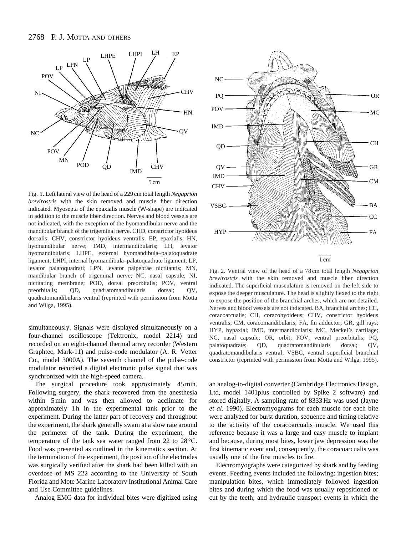

Fig. 1. Left lateral view of the head of a 229 cm total length *Negaprion brevirostris* with the skin removed and muscle fiber direction indicated. Myosepta of the epaxialis muscle (W-shape) are indicated in addition to the muscle fiber direction. Nerves and blood vessels are not indicated, with the exception of the hyomandibular nerve and the mandibular branch of the trigeminal nerve. CHD, constrictor hyoideus dorsalis; CHV, constrictor hyoideus ventralis; EP, epaxialis; HN, hyomandibular nerve; IMD, intermandibularis; LH, levator hyomandibularis; LHPE, external hyomandibula–palatoquadrate ligament; LHPI, internal hyomandibula–palatoquadrate ligament; LP, levator palatoquadrati; LPN, levator palpebrae nictitantis; MN, mandibular branch of trigeminal nerve; NC, nasal capsule; NI, nictitating membrane; POD, dorsal preorbitalis; POV, ventral preorbitalis; QD, quadratomandibularis dorsal; QV, quadratomandibularis ventral (reprinted with permission from Motta and Wilga, 1995).

simultaneously. Signals were displayed simultaneously on a four-channel oscilloscope (Tektronix, model 2214) and recorded on an eight-channel thermal array recorder (Western Graphtec, Mark-11) and pulse-code modulator (A. R. Vetter Co., model 3000A). The seventh channel of the pulse-code modulator recorded a digital electronic pulse signal that was synchronized with the high-speed camera.

The surgical procedure took approximately 45 min. Following surgery, the shark recovered from the anesthesia within 5 min and was then allowed to acclimate for approximately 1 h in the experimental tank prior to the experiment. During the latter part of recovery and throughout the experiment, the shark generally swam at a slow rate around the perimeter of the tank. During the experiment, the temperature of the tank sea water ranged from 22 to 28 °C. Food was presented as outlined in the kinematics section. At the termination of the experiment, the position of the electrodes was surgically verified after the shark had been killed with an overdose of MS 222 according to the University of South Florida and Mote Marine Laboratory Institutional Animal Care and Use Committee guidelines.

Analog EMG data for individual bites were digitized using



Fig. 2. Ventral view of the head of a 78 cm total length *Negaprion brevirostris* with the skin removed and muscle fiber direction indicated. The superficial musculature is removed on the left side to expose the deeper musculature. The head is slightly flexed to the right to expose the position of the branchial arches, which are not detailed. Nerves and blood vessels are not indicated. BA, branchial arches; CC, coracoarcualis; CH, coracohyoideus; CHV, constrictor hyoideus ventralis; CM, coracomandibularis; FA, fin adductor; GR, gill rays; HYP, hypaxial; IMD, intermandibularis; MC, Meckel's cartilage; NC, nasal capsule; OR, orbit; POV, ventral preorbitalis; PQ, palatoquadrate; QD, quadratomandibularis dorsal; QV, quadratomandibularis ventral; VSBC, ventral superficial branchial constrictor (reprinted with permission from Motta and Wilga, 1995).

an analog-to-digital converter (Cambridge Electronics Design, Ltd, model 1401plus controlled by Spike 2 software) and stored digitally. A sampling rate of 8333 Hz was used (Jayne *et al.* 1990). Electromyograms for each muscle for each bite were analyzed for burst duration, sequence and timing relative to the activity of the coracoarcualis muscle. We used this reference because it was a large and easy muscle to implant and because, during most bites, lower jaw depression was the first kinematic event and, consequently, the coracoarcualis was usually one of the first muscles to fire.

Electromyographs were categorized by shark and by feeding events. Feeding events included the following: ingestion bites; manipulation bites, which immediately followed ingestion bites and during which the food was usually repositioned or cut by the teeth; and hydraulic transport events in which the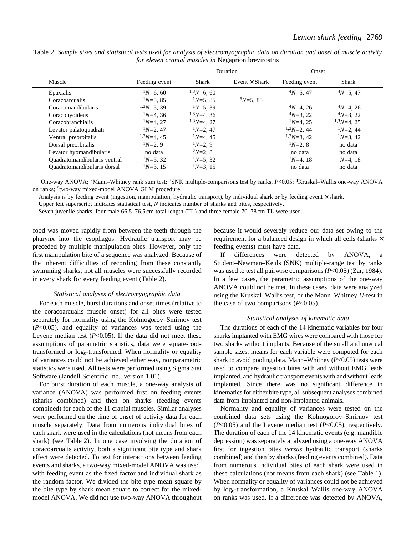|                              |               |               | Duration             | Onset         |               |
|------------------------------|---------------|---------------|----------------------|---------------|---------------|
| Muscle                       | Feeding event | <b>Shark</b>  | Event $\times$ Shark | Feeding event | <b>Shark</b>  |
| Epaxialis                    | $1N=6.60$     | $1,3N=6,60$   |                      | $4N=5, 47$    | $4N=5, 47$    |
| Coracoarcualis               | $1N=5.85$     | $1N=5.85$     | $5N=5.85$            |               |               |
| Coracomandibularis           | $1.3N=5.39$   | $1N=5.39$     |                      | $4N=4$ , 26   | $4N=4, 26$    |
| Coracohyoideus               | $1N=4$ , 36   | $1.3N=4.36$   |                      | $4N=3, 22$    | $4N=3, 22$    |
| Coracobranchialis            | $1N=4$ , 27   | $1.3N=4$ , 27 |                      | $1N=4$ , 25   | $1.3N=4$ , 25 |
| Levator palatoquadrati       | $1N=2.47$     | $1N=2.47$     |                      | $1.3N=2.44$   | $1N=2$ , 44   |
| Ventral preorbitalis         | $1.3N=4$ , 45 | $1N=4$ , 45   |                      | $1.3N=3.42$   | $1N=3$ , 42   |
| Dorsal preorbitalis          | $1N=2.9$      | $1N=2.9$      |                      | $1N=2.8$      | no data       |
| Levator hyomandibularis      | no data       | $2N=2.8$      |                      | no data       | no data       |
| Quadratomandibularis ventral | $1N=5$ , 32   | $1N=5$ , 32   |                      | $1N=4$ , 18   | $1N=4$ , 18   |
| Quadratomandibularis dorsal  | $1N=3$ , 15   | $1N=3.15$     |                      | no data       | no data       |
|                              |               |               |                      |               |               |

Table 2. *Sample sizes and statistical tests used for analysis of electromyographic data on duration and onset of muscle activity for eleven cranial muscles in* Negaprion brevirostris

1One-way ANOVA; 2Mann–Whitney rank sum test; 3SNK multiple-comparisons test by ranks, *P*<0.05; 4Kruskal–Wallis one-way ANOVA on ranks; 5two-way mixed-model ANOVA GLM procedure.

Analysis is by feeding event (ingestion, manipulation, hydraulic transport), by individual shark or by feeding event  $\times$  shark.

Upper left superscript indicates statistical test, *N* indicates number of sharks and bites, respectively.

Seven juvenile sharks, four male 66.5–76.5 cm total length (TL) and three female 70–78 cm TL were used.

food was moved rapidly from between the teeth through the pharynx into the esophagus. Hydraulic transport may be preceded by multiple manipulation bites. However, only the first manipulation bite of a sequence was analyzed. Because of the inherent difficulties of recording from these constantly swimming sharks, not all muscles were successfully recorded in every shark for every feeding event (Table 2).

### *Statistical analyses of electromyographic data*

For each muscle, burst durations and onset times (relative to the coracoarcualis muscle onset) for all bites were tested separately for normality using the Kolmogorov–Smirnov test (*P*<0.05), and equality of variances was tested using the Levene median test  $(P<0.05)$ . If the data did not meet these assumptions of parametric statistics, data were square-roottransformed or loge-transformed. When normality or equality of variances could not be achieved either way, nonparametric statistics were used. All tests were performed using Sigma Stat Software (Jandell Scientific Inc., version 1.01).

For burst duration of each muscle, a one-way analysis of variance (ANOVA) was performed first on feeding events (sharks combined) and then on sharks (feeding events combined) for each of the 11 cranial muscles. Similar analyses were performed on the time of onset of activity data for each muscle separately. Data from numerous individual bites of each shark were used in the calculations (not means from each shark) (see Table 2). In one case involving the duration of coracoarcualis activity, both a significant bite type and shark effect were detected. To test for interactions between feeding events and sharks, a two-way mixed-model ANOVA was used, with feeding event as the fixed factor and individual shark as the random factor. We divided the bite type mean square by the bite type by shark mean square to correct for the mixedmodel ANOVA. We did not use two-way ANOVA throughout because it would severely reduce our data set owing to the requirement for a balanced design in which all cells (sharks  $\times$ feeding events) must have data.

If differences were detected by ANOVA, a Student–Newman–Keuls (SNK) multiple-range test by ranks was used to test all pairwise comparisons (*P*<0.05) (Zar, 1984). In a few cases, the parametric assumptions of the one-way ANOVA could not be met. In these cases, data were analyzed using the Kruskal–Wallis test, or the Mann–Whitney *U*-test in the case of two comparisons  $(P<0.05)$ .

#### *Statistical analyses of kinematic data*

The durations of each of the 14 kinematic variables for four sharks implanted with EMG wires were compared with those for two sharks without implants. Because of the small and unequal sample sizes, means for each variable were computed for each shark to avoid pooling data. Mann–Whitney (*P*<0.05) tests were used to compare ingestion bites with and without EMG leads implanted, and hydraulic transport events with and without leads implanted. Since there was no significant difference in kinematics for either bite type, all subsequent analyses combined data from implanted and non-implanted animals.

Normality and equality of variances were tested on the combined data sets using the Kolmogorov–Smirnov test (*P*<0.05) and the Levene median test (*P*<0.05), respectively. The duration of each of the 14 kinematic events (e.g. mandible depression) was separately analyzed using a one-way ANOVA first for ingestion bites *versus* hydraulic transport (sharks combined) and then by sharks (feeding events combined). Data from numerous individual bites of each shark were used in these calculations (not means from each shark) (see Table 1). When normality or equality of variances could not be achieved by loge-transformation, a Kruskal–Wallis one-way ANOVA on ranks was used. If a difference was detected by ANOVA,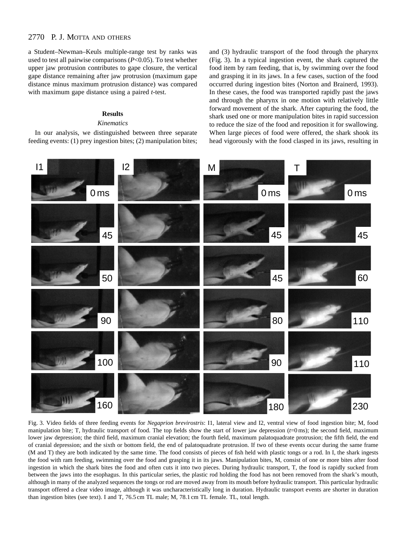a Student–Newman–Keuls multiple-range test by ranks was used to test all pairwise comparisons (*P*<0.05). To test whether upper jaw protrusion contributes to gape closure, the vertical gape distance remaining after jaw protrusion (maximum gape distance minus maximum protrusion distance) was compared with maximum gape distance using a paired *t*-test.

# **Results**

### *Kinematics*

In our analysis, we distinguished between three separate feeding events: (1) prey ingestion bites; (2) manipulation bites;

and (3) hydraulic transport of the food through the pharynx (Fig. 3). In a typical ingestion event, the shark captured the food item by ram feeding, that is, by swimming over the food and grasping it in its jaws. In a few cases, suction of the food occurred during ingestion bites (Norton and Brainerd, 1993). In these cases, the food was transported rapidly past the jaws and through the pharynx in one motion with relatively little forward movement of the shark. After capturing the food, the shark used one or more manipulation bites in rapid succession to reduce the size of the food and reposition it for swallowing. When large pieces of food were offered, the shark shook its head vigorously with the food clasped in its jaws, resulting in



Fig. 3. Video fields of three feeding events for *Negaprion brevirostris*: I1, lateral view and I2, ventral view of food ingestion bite; M, food manipulation bite; T, hydraulic transport of food. The top fields show the start of lower jaw depression (*t*=0 ms); the second field, maximum lower jaw depression; the third field, maximum cranial elevation; the fourth field, maximum palatoquadrate protrusion; the fifth field, the end of cranial depression; and the sixth or bottom field, the end of palatoquadrate protrusion. If two of these events occur during the same frame (M and T) they are both indicated by the same time. The food consists of pieces of fish held with plastic tongs or a rod. In I, the shark ingests the food with ram feeding, swimming over the food and grasping it in its jaws. Manipulation bites, M, consist of one or more bites after food ingestion in which the shark bites the food and often cuts it into two pieces. During hydraulic transport, T, the food is rapidly sucked from between the jaws into the esophagus. In this particular series, the plastic rod holding the food has not been removed from the shark's mouth, although in many of the analyzed sequences the tongs or rod are moved away from its mouth before hydraulic transport. This particular hydraulic transport offered a clear video image, although it was uncharacteristically long in duration. Hydraulic transport events are shorter in duration than ingestion bites (see text). I and T, 76.5 cm TL male; M, 78.1 cm TL female. TL, total length.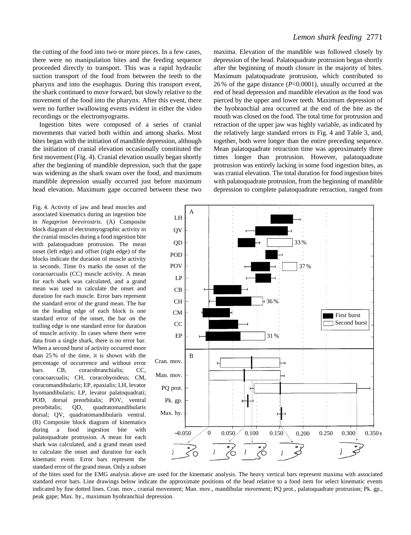the cutting of the food into two or more pieces. In a few cases, there were no manipulation bites and the feeding sequence proceeded directly to transport. This was a rapid hydraulic suction transport of the food from between the teeth to the pharynx and into the esophagus. During this transport event, the shark continued to move forward, but slowly relative to the movement of the food into the pharynx. After this event, there were no further swallowing events evident in either the video recordings or the electromyograms.

Ingestion bites were composed of a series of cranial movements that varied both within and among sharks. Most bites began with the initiation of mandible depression, although the initiation of cranial elevation occasionally constituted the first movement (Fig. 4). Cranial elevation usually began shortly after the beginning of mandible depression, such that the gape was widening as the shark swam over the food, and maximum mandible depression usually occurred just before maximum head elevation. Maximum gape occurred between these two

Fig. 4. Activity of jaw and head muscles and associated kinematics during an ingestion bite in *Negaprion brevirostris*. (A) Composite block diagram of electromyographic activity in the cranial muscles during a food ingestion bite with palatoquadrate protrusion. The mean onset (left edge) and offset (right edge) of the blocks indicate the duration of muscle activity in seconds. Time 0s marks the onset of the coracoarcualis (CC) muscle activity. A mean for each shark was calculated, and a grand mean was used to calculate the onset and duration for each muscle. Error bars represent the standard error of the grand mean. The bar on the leading edge of each block is one standard error of the onset, the bar on the trailing edge is one standard error for duration of muscle activity. In cases where there were data from a single shark, there is no error bar. When a second burst of activity occurred more than 25 % of the time, it is shown with the percentage of occurrence and without error bars. CB, coracobranchialis; CC, coracoarcualis; CH, coracohyoideus; CM, coracomandibularis; EP, epaxialis; LH, levator hyomandibularis; LP, levator palatoquadrati; POD, dorsal preorbitalis; POV, ventral preorbitalis; QD, quadratomandibularis dorsal; QV, quadratomandibularis ventral. (B) Composite block diagram of kinematics during a food ingestion bite with palatoquadrate protrusion. A mean for each shark was calculated, and a grand mean used to calculate the onset and duration for each kinematic event. Error bars represent the standard error of the grand mean. Only a subset

maxima. Elevation of the mandible was followed closely by depression of the head. Palatoquadrate protrusion began shortly after the beginning of mouth closure in the majority of bites. Maximum palatoquadrate protrusion, which contributed to 26 % of the gape distance (*P*<0.0001), usually occurred at the end of head depression and mandible elevation as the food was pierced by the upper and lower teeth. Maximum depression of the hyobranchial area occurred at the end of the bite as the mouth was closed on the food. The total time for protrusion and retraction of the upper jaw was highly variable, as indicated by the relatively large standard errors in Fig. 4 and Table 3, and, together, both were longer than the entire preceding sequence. Mean palatoquadrate retraction time was approximately three times longer than protrusion. However, palatoquadrate protrusion was entirely lacking in some food ingestion bites, as was cranial elevation. The total duration for food ingestion bites with palatoquadrate protrusion, from the beginning of mandible depression to complete palatoquadrate retraction, ranged from



of the bites used for the EMG analysis above are used for the kinematic analysis. The heavy vertical bars represent maxima with associated standard error bars. Line drawings below indicate the approximate positions of the head relative to a food item for select kinematic events indicated by fine dotted lines. Cran. mov., cranial movement; Man. mov., mandibular movement; PQ prot., palatoquadrate protrusion; Pk. gp., peak gape; Max. hy., maximum hyobranchial depression.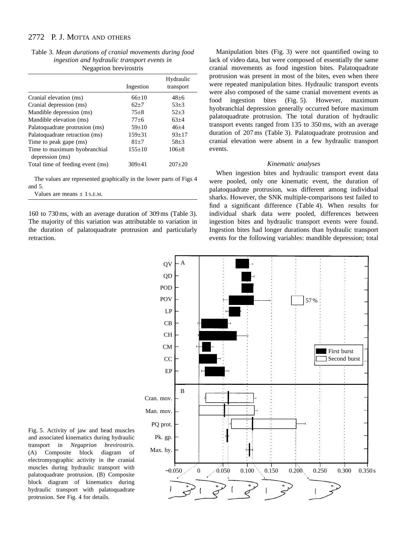Table 3. *Mean durations of cranial movements during food ingestion and hydraulic transport events in* Negaprion brevirostris

|                                                 |              | Hydraulic |
|-------------------------------------------------|--------------|-----------|
|                                                 | Ingestion    | transport |
| Cranial elevation (ms)                          | $66+10$      | $48+6$    |
| Cranial depression (ms)                         | $62+7$       | $53+3$    |
| Mandible depression (ms)                        | $75 + 8$     | $52 + 3$  |
| Mandible elevation (ms)                         | $77+6$       | $63+4$    |
| Palatoquadrate protrusion (ms)                  | $59+10$      | $46 + 4$  |
| Palatoquadrate retraction (ms)                  | $159 \pm 31$ | $93+17$   |
| Time to peak gape (ms)                          | $81 + 7$     | $58 + 3$  |
| Time to maximum hyobranchial<br>depression (ms) | $155+10$     | $106 + 8$ |
| Total time of feeding event (ms)                | $309 + 41$   | $207+20$  |

The values are represented graphically in the lower parts of Figs 4 and 5.

| Values are means $\pm$ 1 s.E.M. |  |  |  |  |  |
|---------------------------------|--|--|--|--|--|
|---------------------------------|--|--|--|--|--|

160 to 730 ms, with an average duration of 309 ms (Table 3). The majority of this variation was attributable to variation in the duration of palatoquadrate protrusion and particularly retraction.

Manipulation bites (Fig. 3) were not quantified owing to lack of video data, but were composed of essentially the same cranial movements as food ingestion bites. Palatoquadrate protrusion was present in most of the bites, even when there were repeated manipulation bites. Hydraulic transport events were also composed of the same cranial movement events as food ingestion bites (Fig. 5). However, maximum hyobranchial depression generally occurred before maximum palatoquadrate protrusion. The total duration of hydraulic transport events ranged from 135 to 350 ms, with an average duration of 207 ms (Table 3). Palatoquadrate protrusion and cranial elevation were absent in a few hydraulic transport events.

#### *Kinematic analyses*

When ingestion bites and hydraulic transport event data were pooled, only one kinematic event, the duration of palatoquadrate protrusion, was different among individual sharks. However, the SNK multiple-comparisons test failed to find a significant difference (Table 4). When results for individual shark data were pooled, differences between ingestion bites and hydraulic transport events were found. Ingestion bites had longer durations than hydraulic transport events for the following variables: mandible depression; total



Fig. 5. Activity of jaw and head muscles and associated kinematics during hydraulic transport in *Negaprion brevirostris*. (A) Composite block diagram of electromyographic activity in the cranial muscles during hydraulic transport with palatoquadrate protrusion. (B) Composite block diagram of kinematics during hydraulic transport with palatoquadrate protrusion. See Fig. 4 for details.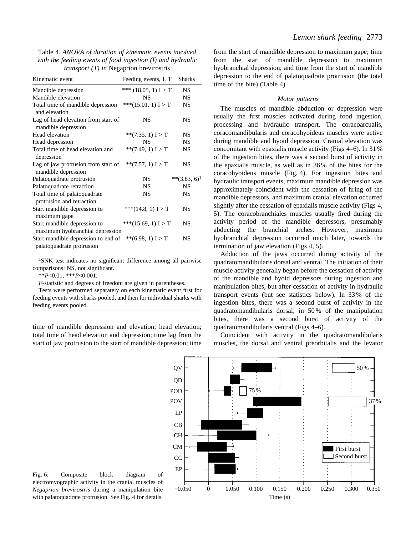Table 4. *ANOVA of duration of kinematic events involved with the feeding events of food ingestion (I) and hydraulic transport (T) in* Negaprion brevirostris

| Kinematic event                                                  | Feeding events, I, T   | <b>Sharks</b>   |
|------------------------------------------------------------------|------------------------|-----------------|
| Mandible depression                                              | *** $(18.05, 1) I > T$ | <b>NS</b>       |
| Mandible elevation                                               | NS                     | <b>NS</b>       |
| Total time of mandible depression<br>and elevation               | *** $(15.01, 1) I > T$ | <b>NS</b>       |
| Lag of head elevation from start of<br>mandible depression       | NS                     | <b>NS</b>       |
| Head elevation                                                   | **(7.35, 1) $I > T$    | <b>NS</b>       |
| Head depression                                                  | NS                     | <b>NS</b>       |
| Total time of head elevation and<br>depression                   | ** $(7.49, 1) I > T$   | <b>NS</b>       |
| Lag of jaw protrusion from start of<br>mandible depression       | ** $(7.57, 1)$ I > T   | <b>NS</b>       |
| Palatoquadrate protrusion                                        | NS.                    | $**(3.83, 6)^1$ |
| Palatoquadrate retraction                                        | <b>NS</b>              | <b>NS</b>       |
| Total time of palatoquadrate<br>protrusion and retraction        | <b>NS</b>              | <b>NS</b>       |
| Start mandible depression to<br>maximum gape                     | *** $(14.8, 1) I > T$  | NS              |
| Start mandible depression to<br>maximum hyobranchial depression  | ***(15.69, 1) $I > T$  | NS              |
| Start mandible depression to end of<br>palatoquadrate protrusion | ** $(6.98, 1)$ I > T   | <b>NS</b>       |

1SNK test indicates no significant difference among all pairwise comparisons; NS, not significant.

\*\**P*<0.01; \*\*\**P*<0.001.

*F*-statistic and degrees of freedom are given in parentheses.

Tests were performed separately on each kinematic event first for feeding events with sharks pooled, and then for individual sharks with feeding events pooled.

time of mandible depression and elevation; head elevation; total time of head elevation and depression; time lag from the start of jaw protrusion to the start of mandible depression; time from the start of mandible depression to maximum gape; time from the start of mandible depression to maximum hyobranchial depression; and time from the start of mandible depression to the end of palatoquadrate protrusion (the total time of the bite) (Table 4).

#### *Motor patterns*

The muscles of mandible abduction or depression were usually the first muscles activated during food ingestion, processing and hydraulic transport. The coracoarcualis, coracomandibularis and coracohyoideus muscles were active during mandible and hyoid depression. Cranial elevation was concomitant with epaxialis muscle activity (Figs 4–6). In 31 % of the ingestion bites, there was a second burst of activity in the epaxialis muscle, as well as in 36 % of the bites for the coracohyoideus muscle (Fig. 4). For ingestion bites and hydraulic transport events, maximum mandible depression was approximately coincident with the cessation of firing of the mandible depressors, and maximum cranial elevation occurred slightly after the cessation of epaxialis muscle activity (Figs 4, 5). The coracobranchiales muscles usually fired during the activity period of the mandible depressors, presumably abducting the branchial arches. However, maximum hyobranchial depression occurred much later, towards the termination of jaw elevation (Figs 4, 5).

Adduction of the jaws occurred during activity of the quadratomandibularis dorsal and ventral. The initiation of their muscle activity generally began before the cessation of activity of the mandible and hyoid depressors during ingestion and manipulation bites, but after cessation of activity in hydraulic transport events (but see statistics below). In 33 % of the ingestion bites, there was a second burst of activity in the quadratomandibularis dorsal; in 50 % of the manipulation bites, there was a second burst of activity of the quadratomandibularis ventral (Figs 4–6).

Coincident with activity in the quadratomandibularis muscles, the dorsal and ventral preorbitalis and the levator



Fig. 6. Composite block diagram of electromyographic activity in the cranial muscles of *Negaprion brevirostris* during a manipulation bite with palatoquadrate protrusion. See Fig. 4 for details.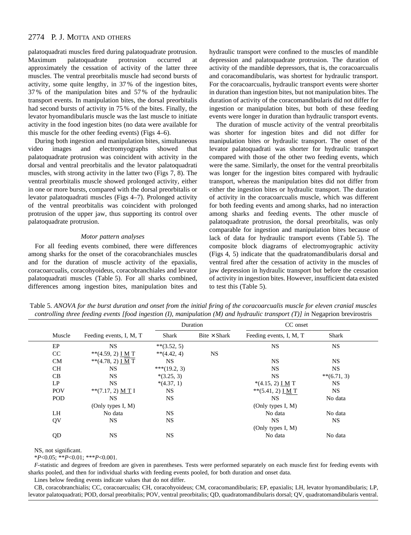palatoquadrati muscles fired during palatoquadrate protrusion. Maximum palatoquadrate protrusion occurred at approximately the cessation of activity of the latter three muscles. The ventral preorbitalis muscle had second bursts of activity, some quite lengthy, in 37 % of the ingestion bites, 37 % of the manipulation bites and 57 % of the hydraulic transport events. In manipulation bites, the dorsal preorbitalis had second bursts of activity in 75 % of the bites. Finally, the levator hyomandibularis muscle was the last muscle to initiate activity in the food ingestion bites (no data were available for this muscle for the other feeding events) (Figs 4–6).

During both ingestion and manipulation bites, simultaneous video images and electromyographs showed that palatoquadrate protrusion was coincident with activity in the dorsal and ventral preorbitalis and the levator palatoquadrati muscles, with strong activity in the latter two (Figs 7, 8). The ventral preorbitalis muscle showed prolonged activity, either in one or more bursts, compared with the dorsal preorbitalis or levator palatoquadrati muscles (Figs 4–7). Prolonged activity of the ventral preorbitalis was coincident with prolonged protrusion of the upper jaw, thus supporting its control over palatoquadrate protrusion.

### *Motor pattern analyses*

For all feeding events combined, there were differences among sharks for the onset of the coracobranchiales muscles and for the duration of muscle activity of the epaxialis, coracoarcualis, coracohyoideus, coracobranchiales and levator palatoquadrati muscles (Table 5). For all sharks combined, differences among ingestion bites, manipulation bites and hydraulic transport were confined to the muscles of mandible depression and palatoquadrate protrusion. The duration of activity of the mandible depressors, that is, the coracoarcualis and coracomandibularis, was shortest for hydraulic transport. For the coracoarcualis, hydraulic transport events were shorter in duration than ingestion bites, but not manipulation bites. The duration of activity of the coracomandibularis did not differ for ingestion or manipulation bites, but both of these feeding events were longer in duration than hydraulic transport events.

The duration of muscle activity of the ventral preorbitalis was shorter for ingestion bites and did not differ for manipulation bites or hydraulic transport. The onset of the levator palatoquadrati was shorter for hydraulic transport compared with those of the other two feeding events, which were the same. Similarly, the onset for the ventral preorbitalis was longer for the ingestion bites compared with hydraulic transport, whereas the manipulation bites did not differ from either the ingestion bites or hydraulic transport. The duration of activity in the coracoarcualis muscle, which was different for both feeding events and among sharks, had no interaction among sharks and feeding events. The other muscle of palatoquadrate protrusion, the dorsal preorbitalis, was only comparable for ingestion and manipulation bites because of lack of data for hydraulic transport events (Table 5). The composite block diagrams of electromyographic activity (Figs 4, 5) indicate that the quadratomandibularis dorsal and ventral fired after the cessation of activity in the muscles of jaw depression in hydraulic transport but before the cessation of activity in ingestion bites. However, insufficient data existed to test this (Table 5).

Table 5. *ANOVA for the burst duration and onset from the initial firing of the coracoarcualis muscle for eleven cranial muscles controlling three feeding events [food ingestion (I), manipulation (M) and hydraulic transport (T)] in Negaprion brevirostris* 

|            |                                 | Duration      |                     | CC onset                   |               |  |
|------------|---------------------------------|---------------|---------------------|----------------------------|---------------|--|
| Muscle     | Feeding events, I, M, T         | Shark         | $Bite \times Shark$ | Feeding events, I, M, T    | Shark         |  |
| EP         | <b>NS</b>                       | $**(3.52, 5)$ |                     | <b>NS</b>                  | <b>NS</b>     |  |
| CC         | **(4.59, 2) $\underline{I M}$ T | $**(4.42, 4)$ | NS                  |                            |               |  |
| <b>CM</b>  | $**(4.78, 2)$ I M T             | <b>NS</b>     |                     | <b>NS</b>                  | <b>NS</b>     |  |
| <b>CH</b>  | <b>NS</b>                       | ***(19.2, 3)  |                     | <b>NS</b>                  | <b>NS</b>     |  |
| CB         | <b>NS</b>                       | $*(3.25, 3)$  |                     | <b>NS</b>                  | $**(6.71, 3)$ |  |
| LP         | <b>NS</b>                       | $*(4.37, 1)$  |                     | $*(4.15, 2)$ I M T         | <b>NS</b>     |  |
| <b>POV</b> | $**$ (7.17, 2) M T I            | <b>NS</b>     |                     | ** $(5.41, 2)$ <u>IM</u> T | <b>NS</b>     |  |
| <b>POD</b> | <b>NS</b>                       | <b>NS</b>     |                     | <b>NS</b>                  | No data       |  |
|            | (Only types I, $M$ )            |               |                     | (Only types I, M)          |               |  |
| LH         | No data                         | <b>NS</b>     |                     | No data                    | No data       |  |
| QV         | <b>NS</b>                       | <b>NS</b>     |                     | <b>NS</b>                  | <b>NS</b>     |  |
|            |                                 |               |                     | (Only types I, $M$ )       |               |  |
| QD         | <b>NS</b>                       | <b>NS</b>     |                     | No data                    | No data       |  |

NS, not significant.

\**P*<0.05; \*\**P*<0.01; \*\*\**P*<0.001.

*F*-statistic and degrees of freedom are given in parentheses. Tests were performed separately on each muscle first for feeding events with sharks pooled, and then for individual sharks with feeding events pooled, for both duration and onset data.

Lines below feeding events indicate values that do not differ.

CB, coracobranchialis; CC, coracoarcualis; CH, coracohyoideus; CM, coracomandibularis; EP, epaxialis; LH, levator hyomandibularis; LP, levator palatoquadrati; POD, dorsal preorbitalis; POV, ventral preorbitalis; QD, quadratomandibularis dorsal; QV, quadratomandibularis ventral.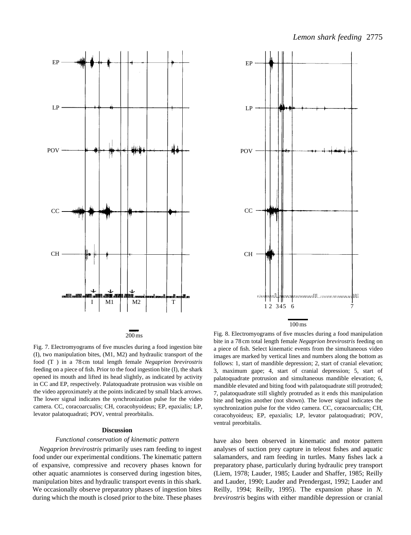



Fig. 7. Electromyograms of five muscles during a food ingestion bite (I), two manipulation bites, (M1, M2) and hydraulic transport of the food (T ) in a 78 cm total length female *Negaprion brevirostris*

feeding on a piece of fish. Prior to the food ingestion bite (I), the shark opened its mouth and lifted its head slightly, as indicated by activity in CC and EP, respectively. Palatoquadrate protrusion was visible on the video approximately at the points indicated by small black arrows. The lower signal indicates the synchronization pulse for the video camera. CC, coracoarcualis; CH, coracohyoideus; EP, epaxialis; LP, levator palatoquadrati; POV, ventral preorbitalis.

### **Discussion**

### *Functional conservation of kinematic pattern*

*Negaprion brevirostris* primarily uses ram feeding to ingest food under our experimental conditions. The kinematic pattern of expansive, compressive and recovery phases known for other aquatic anamniotes is conserved during ingestion bites, manipulation bites and hydraulic transport events in this shark. We occasionally observe preparatory phases of ingestion bites during which the mouth is closed prior to the bite. These phases

Fig. 8. Electromyograms of five muscles during a food manipulation bite in a 78 cm total length female *Negaprion brevirostris* feeding on a piece of fish. Select kinematic events from the simultaneous video images are marked by vertical lines and numbers along the bottom as follows: 1, start of mandible depression; 2, start of cranial elevation; 3, maximum gape; 4, start of cranial depression; 5, start of palatoquadrate protrusion and simultaneous mandible elevation; 6, mandible elevated and biting food with palatoquadrate still protruded; 7, palatoquadrate still slightly protruded as it ends this manipulation bite and begins another (not shown). The lower signal indicates the synchronization pulse for the video camera. CC, coracoarcualis; CH, coracohyoideus; EP, epaxialis; LP, levator palatoquadrati; POV, ventral preorbitalis.

have also been observed in kinematic and motor pattern analyses of suction prey capture in teleost fishes and aquatic salamanders, and ram feeding in turtles. Many fishes lack a preparatory phase, particularly during hydraulic prey transport (Liem, 1978; Lauder, 1985; Lauder and Shaffer, 1985; Reilly and Lauder, 1990; Lauder and Prendergast, 1992; Lauder and Reilly, 1994; Reilly, 1995). The expansion phase in *N. brevirostris* begins with either mandible depression or cranial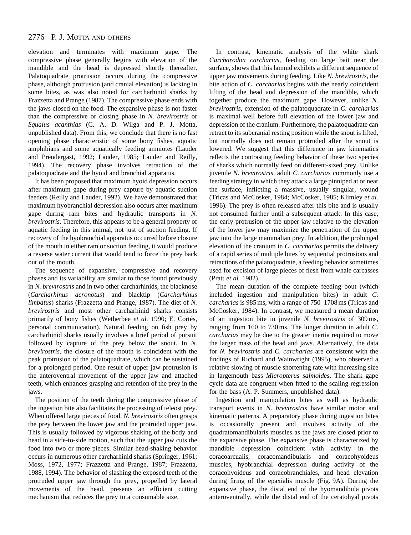elevation and terminates with maximum gape. The compressive phase generally begins with elevation of the mandible and the head is depressed shortly thereafter. Palatoquadrate protrusion occurs during the compressive phase, although protrusion (and cranial elevation) is lacking in some bites, as was also noted for carcharhinid sharks by Frazzetta and Prange (1987). The compressive phase ends with the jaws closed on the food. The expansive phase is not faster than the compressive or closing phase in *N. brevirostris* or *Squalus acanthias* (C. A. D. Wilga and P. J. Motta, unpublished data). From this, we conclude that there is no fast opening phase characteristic of some bony fishes, aquatic amphibians and some aquatically feeding amniotes (Lauder and Prendergast, 1992; Lauder, 1985; Lauder and Reilly, 1994). The recovery phase involves retraction of the palatoquadrate and the hyoid and branchial apparatus.

It has been proposed that maximum hyoid depression occurs after maximum gape during prey capture by aquatic suction feeders (Reilly and Lauder, 1992). We have demonstrated that maximum hyobranchial depression also occurs after maximum gape during ram bites and hydraulic transports in *N. brevirostris*. Therefore, this appears to be a general property of aquatic feeding in this animal, not just of suction feeding. If recovery of the hyobranchial apparatus occurred before closure of the mouth in either ram or suction feeding, it would produce a reverse water current that would tend to force the prey back out of the mouth.

The sequence of expansive, compressive and recovery phases and its variability are similar to those found previously in *N. brevirostris* and in two other carcharhinids, the blacknose (*Carcharhinus acronotus*) and blacktip (*Carcharhinus limbatus*) sharks (Frazzetta and Prange, 1987). The diet of *N. brevirostris* and most other carcharhinid sharks consists primarily of bony fishes (Wetherbee *et al.* 1990; E. Cortés, personal communication). Natural feeding on fish prey by carcharhinid sharks usually involves a brief period of pursuit followed by capture of the prey below the snout. In *N. brevirostris*, the closure of the mouth is coincident with the peak protrusion of the palatoquadrate, which can be sustained for a prolonged period. One result of upper jaw protrusion is the anteroventral movement of the upper jaw and attached teeth, which enhances grasping and retention of the prey in the jaws.

The position of the teeth during the compressive phase of the ingestion bite also facilitates the processing of teleost prey. When offered large pieces of food, *N. brevirostris* often grasps the prey between the lower jaw and the protruded upper jaw. This is usually followed by vigorous shaking of the body and head in a side-to-side motion, such that the upper jaw cuts the food into two or more pieces. Similar head-shaking behavior occurs in numerous other carcharhinid sharks (Springer, 1961; Moss, 1972, 1977; Frazzetta and Prange, 1987; Frazzetta, 1988, 1994). The behavior of slashing the exposed teeth of the protruded upper jaw through the prey, propelled by lateral movements of the head, presents an efficient cutting mechanism that reduces the prey to a consumable size.

In contrast, kinematic analysis of the white shark *Carcharodon carcharias*, feeding on large bait near the surface, shows that this lamnid exhibits a different sequence of upper jaw movements during feeding. Like *N. brevirostris*, the bite action of *C. carcharias* begins with the nearly coincident lifting of the head and depression of the mandible, which together produce the maximum gape. However, unlike *N. brevirostris*, extension of the palatoquadrate in *C. carcharias* is maximal well before full elevation of the lower jaw and depression of the cranium. Furthermore, the palatoquadrate can retract to its subcranial resting position while the snout is lifted, but normally does not remain protruded after the snout is lowered. We suggest that this difference in jaw kinematics reflects the contrasting feeding behavior of these two species of sharks which normally feed on different-sized prey. Unlike juvenile *N. brevirostris*, adult *C. carcharias* commonly use a feeding strategy in which they attack a large pinniped at or near the surface, inflicting a massive, usually singular, wound (Tricas and McCosker, 1984; McCosker, 1985; Klimley *et al.* 1996). The prey is often released after this bite and is usually not consumed further until a subsequent attack. In this case, the early protrusion of the upper jaw relative to the elevation of the lower jaw may maximize the penetration of the upper jaw into the large mammalian prey. In addition, the prolonged elevation of the cranium in *C. carcharias* permits the delivery of a rapid series of multiple bites by sequential protrusions and retractions of the palatoquadrate, a feeding behavior sometimes used for excision of large pieces of flesh from whale carcasses (Pratt *et al.* 1982).

The mean duration of the complete feeding bout (which included ingestion and manipulation bites) in adult *C. carcharias* is 985 ms, with a range of 750–1708 ms (Tricas and McCosker, 1984). In contrast, we measured a mean duration of an ingestion bite in juvenile *N. brevirostris* of 309 ms, ranging from 160 to 730 ms. The longer duration in adult *C. carcharias* may be due to the greater inertia required to move the larger mass of the head and jaws. Alternatively, the data for *N. brevirostris* and *C. carcharias* are consistent with the findings of Richard and Wainwright (1995), who observed a relative slowing of muscle shortening rate with increasing size in largemouth bass *Micropterus salmoides*. The shark gape cycle data are congruent when fitted to the scaling regression for the bass (A. P. Summers, unpublished data).

Ingestion and manipulation bites as well as hydraulic transport events in *N. brevirostris* have similar motor and kinematic patterns. A preparatory phase during ingestion bites is occasionally present and involves activity of the quadratomandibularis muscles as the jaws are closed prior to the expansive phase. The expansive phase is characterized by mandible depression coincident with activity in the coracoarcualis, coracomandibularis and coracohyoideus muscles, hyobranchial depression during activity of the coracohyoideus and coracobranchiales, and head elevation during firing of the epaxialis muscle (Fig. 9A). During the expansive phase, the distal end of the hyomandibula pivots anteroventrally, while the distal end of the ceratohyal pivots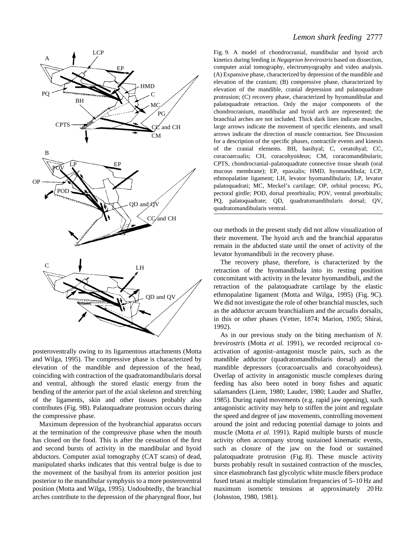

posteroventrally owing to its ligamentous attachments (Motta and Wilga, 1995). The compressive phase is characterized by elevation of the mandible and depression of the head, coinciding with contraction of the quadratomandibularis dorsal and ventral, although the stored elastic energy from the bending of the anterior part of the axial skeleton and stretching of the ligaments, skin and other tissues probably also contributes (Fig. 9B). Palatoquadrate protrusion occurs during the compressive phase.

Maximum depression of the hyobranchial apparatus occurs at the termination of the compressive phase when the mouth has closed on the food. This is after the cessation of the first and second bursts of activity in the mandibular and hyoid abductors. Computer axial tomography (CAT scans) of dead, manipulated sharks indicates that this ventral bulge is due to the movement of the basihyal from its anterior position just posterior to the mandibular symphysis to a more posteroventral position (Motta and Wilga, 1995). Undoubtedly, the branchial arches contribute to the depression of the pharyngeal floor, but

# *Lemon shark feeding* 2777

Fig. 9. A model of chondrocranial, mandibular and hyoid arch kinetics during feeding in *Negaprion brevirostris* based on dissection, computer axial tomography, electromyography and video analysis. (A) Expansive phase, characterized by depression of the mandible and elevation of the cranium; (B) compressive phase, characterized by elevation of the mandible, cranial depression and palatoquadrate protrusion; (C) recovery phase, characterized by hyomandibular and palatoquadrate retraction. Only the major components of the chondrocranium, mandibular and hyoid arch are represented; the branchial arches are not included. Thick dark lines indicate muscles, large arrows indicate the movement of specific elements, and small arrows indicate the direction of muscle contraction. See Discussion for a description of the specific phases, contractile events and kinesis of the cranial elements. BH, basihyal; C, ceratohyal; CC, coracoarcualis; CH, coracohyoideus; CM, coracomandibularis; CPTS, chondrocranial–palatoquadrate connective tissue sheath (oral mucous membrane); EP, epaxialis; HMD, hyomandibula; LCP, ethmopalatine ligament; LH, levator hyomandibularis; LP, levator palatoquadrati; MC, Meckel's cartilage; OP, orbital process; PG, pectoral girdle; POD, dorsal preorbitalis; POV, ventral preorbitalis; PQ, palatoquadrate; QD, quadratomandibularis dorsal; QV, quadratomandibularis ventral.

our methods in the present study did not allow visualization of their movement. The hyoid arch and the branchial apparatus remain in the abducted state until the onset of activity of the levator hyomandibuli in the recovery phase.

The recovery phase, therefore, is characterized by the retraction of the hyomandibula into its resting position concomitant with activity in the levator hyomandibuli, and the retraction of the palatoquadrate cartilage by the elastic ethmopalatine ligament (Motta and Wilga, 1995) (Fig. 9C). We did not investigate the role of other branchial muscles, such as the adductor arcuum branchialium and the arcualis dorsalis, in this or other phases (Vetter, 1874; Marion, 1905; Shirai, 1992).

As in our previous study on the biting mechanism of *N. brevirostris* (Motta *et al.* 1991), we recorded reciprocal coactivation of agonist–antagonist muscle pairs, such as the mandible adductor (quadratomandibularis dorsal) and the mandible depressors (coracoarcualis and coracohyoideus). Overlap of activity in antagonistic muscle complexes during feeding has also been noted in bony fishes and aquatic salamanders (Liem, 1980; Lauder, 1980; Lauder and Shaffer, 1985). During rapid movements (e.g. rapid jaw opening), such antagonistic activity may help to stiffen the joint and regulate the speed and degree of jaw movements, controlling movement around the joint and reducing potential damage to joints and muscle (Motta *et al.* 1991). Rapid multiple bursts of muscle activity often accompany strong sustained kinematic events, such as closure of the jaw on the food or sustained palatoquadrate protrusion (Fig. 8). These muscle activity bursts probably result in sustained contraction of the muscles, since elasmobranch fast glycolytic white muscle fibers produce fused tetani at multiple stimulation frequencies of 5–10 Hz and maximum isometric tensions at approximately 20 Hz (Johnston, 1980, 1981).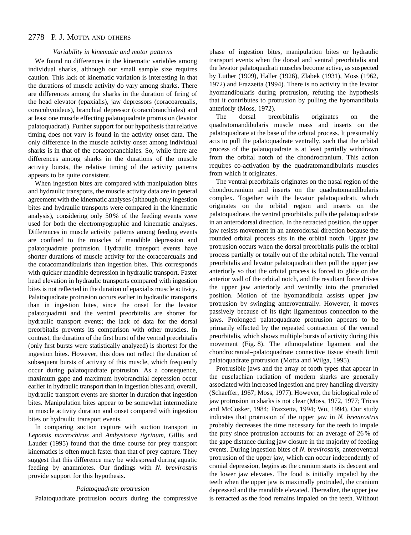## *Variability in kinematic and motor patterns*

We found no differences in the kinematic variables among individual sharks, although our small sample size requires caution. This lack of kinematic variation is interesting in that the durations of muscle activity do vary among sharks. There are differences among the sharks in the duration of firing of the head elevator (epaxialis), jaw depressors (coracoarcualis, coracohyoideus), branchial depressor (coracobranchiales) and at least one muscle effecting palatoquadrate protrusion (levator palatoquadrati). Further support for our hypothesis that relative timing does not vary is found in the activity onset data. The only difference in the muscle activity onset among individual sharks is in that of the coracobranchiales. So, while there are differences among sharks in the durations of the muscle activity bursts, the relative timing of the activity patterns appears to be quite consistent.

When ingestion bites are compared with manipulation bites and hydraulic transports, the muscle activity data are in general agreement with the kinematic analyses (although only ingestion bites and hydraulic transports were compared in the kinematic analysis), considering only 50 % of the feeding events were used for both the electromyographic and kinematic analyses. Differences in muscle activity patterns among feeding events are confined to the muscles of mandible depression and palatoquadrate protrusion. Hydraulic transport events have shorter durations of muscle activity for the coracoarcualis and the coracomandibularis than ingestion bites. This corresponds with quicker mandible depression in hydraulic transport. Faster head elevation in hydraulic transports compared with ingestion bites is not reflected in the duration of epaxialis muscle activity. Palatoquadrate protrusion occurs earlier in hydraulic transports than in ingestion bites, since the onset for the levator palatoquadrati and the ventral preorbitalis are shorter for hydraulic transport events; the lack of data for the dorsal preorbitalis prevents its comparison with other muscles. In contrast, the duration of the first burst of the ventral preorbitalis (only first bursts were statistically analyzed) is shortest for the ingestion bites. However, this does not reflect the duration of subsequent bursts of activity of this muscle, which frequently occur during palatoquadrate protrusion. As a consequence, maximum gape and maximum hyobranchial depression occur earlier in hydraulic transport than in ingestion bites and, overall, hydraulic transport events are shorter in duration that ingestion bites. Manipulation bites appear to be somewhat intermediate in muscle activity duration and onset compared with ingestion bites or hydraulic transport events.

In comparing suction capture with suction transport in *Lepomis macrochirus* and *Ambystoma tigrinum*, Gillis and Lauder (1995) found that the time course for prey transport kinematics is often much faster than that of prey capture. They suggest that this difference may be widespread during aquatic feeding by anamniotes. Our findings with *N. brevirostris* provide support for this hypothesis.

### *Palatoquadrate protrusion*

Palatoquadrate protrusion occurs during the compressive

phase of ingestion bites, manipulation bites or hydraulic transport events when the dorsal and ventral preorbitalis and the levator palatoquadrati muscles become active, as suspected by Luther (1909), Haller (1926), Zlabek (1931), Moss (1962, 1972) and Frazzetta (1994). There is no activity in the levator hyomandibularis during protrusion, refuting the hypothesis that it contributes to protrusion by pulling the hyomandibula anteriorly (Moss, 1972).

The dorsal preorbitalis originates on the quadratomandibularis muscle mass and inserts on the palatoquadrate at the base of the orbital process. It presumably acts to pull the palatoquadrate ventrally, such that the orbital process of the palatoquadrate is at least partially withdrawn from the orbital notch of the chondrocranium. This action requires co-activation by the quadratomandibularis muscles from which it originates.

The ventral preorbitalis originates on the nasal region of the chondrocranium and inserts on the quadratomandibularis complex. Together with the levator palatoquadrati, which originates on the orbital region and inserts on the palatoquadrate, the ventral preorbitalis pulls the palatoquadrate in an anterodorsal direction. In the retracted position, the upper jaw resists movement in an anterodorsal direction because the rounded orbital process sits in the orbital notch. Upper jaw protrusion occurs when the dorsal preorbitalis pulls the orbital process partially or totally out of the orbital notch. The ventral preorbitalis and levator palatoquadrati then pull the upper jaw anteriorly so that the orbital process is forced to glide on the anterior wall of the orbital notch, and the resultant force drives the upper jaw anteriorly and ventrally into the protruded position. Motion of the hyomandibula assists upper jaw protrusion by swinging anteroventrally. However, it moves passively because of its tight ligamentous connection to the jaws. Prolonged palatoquadrate protrusion appears to be primarily effected by the repeated contraction of the ventral preorbitalis, which shows multiple bursts of activity during this movement (Fig. 8). The ethmopalatine ligament and the chondrocranial–palatoquadrate connective tissue sheath limit palatoquadrate protrusion (Motta and Wilga, 1995).

Protrusible jaws and the array of tooth types that appear in the euselachian radiation of modern sharks are generally associated with increased ingestion and prey handling diversity (Schaeffer, 1967; Moss, 1977). However, the biological role of jaw protrusion in sharks is not clear (Moss, 1972, 1977; Tricas and McCosker, 1984; Frazzetta, 1994; Wu, 1994). Our study indicates that protrusion of the upper jaw in *N. brevirostris* probably decreases the time necessary for the teeth to impale the prey since protrusion accounts for an average of 26 % of the gape distance during jaw closure in the majority of feeding events. During ingestion bites of *N. brevirostris*, anteroventral protrusion of the upper jaw, which can occur independently of cranial depression, begins as the cranium starts its descent and the lower jaw elevates. The food is initially impaled by the teeth when the upper jaw is maximally protruded, the cranium depressed and the mandible elevated. Thereafter, the upper jaw is retracted as the food remains impaled on the teeth. Without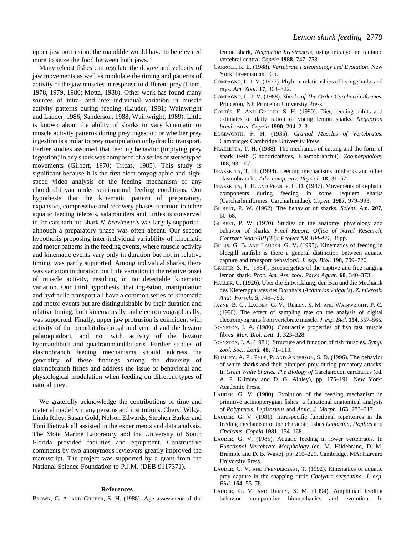upper jaw protrusion, the mandible would have to be elevated more to seize the food between both jaws.

Many teleost fishes can regulate the degree and velocity of jaw movements as well as modulate the timing and patterns of activity of the jaw muscles in response to different prey (Liem, 1978, 1979, 1980; Motta, 1988). Other work has found many sources of intra- and inter-individual variation in muscle activity patterns during feeding (Lauder, 1981; Wainwright and Lauder, 1986; Sanderson, 1988; Wainwright, 1989). Little is known about the ability of sharks to vary kinematic or muscle activity patterns during prey ingestion or whether prey ingestion is similar to prey manipulation or hydraulic transport. Earlier studies assumed that feeding behavior (implying prey ingestion) in any shark was composed of a series of stereotyped movements (Gilbert, 1970; Tricas, 1985). This study is significant because it is the first electromyographic and highspeed video analysis of the feeding mechanism of any chondrichthyan under semi-natural feeding conditions. Our hypothesis that the kinematic pattern of preparatory, expansive, compressive and recovery phases common to other aquatic feeding teleosts, salamanders and turtles is conserved in the carcharhinid shark *N. brevirostris* was largely supported, although a preparatory phase was often absent. Our second hypothesis proposing inter-individual variability of kinematic and motor patterns in the feeding events, where muscle activity and kinematic events vary only in duration but not in relative timing, was partly supported. Among individual sharks, there was variation in duration but little variation in the relative onset of muscle activity, resulting in no detectable kinematic variation. Our third hypothesis, that ingestion, manipulation and hydraulic transport all have a common series of kinematic and motor events but are distinguishable by their duration and relative timing, both kinematically and electromyographically, was supported. Finally, upper jaw protrusion is coincident with activity of the preorbitalis dorsal and ventral and the levator palatoquadrati, and not with activity of the levator hyomandibuli and quadratomandibularis. Further studies of elasmobranch feeding mechanisms should address the generality of these findings among the diversity of elasmobranch fishes and address the issue of behavioral and physiological modulation when feeding on different types of natural prey.

We gratefully acknowledge the contributions of time and material made by many persons and institutions. Cheryl Wilga, Linda Riley, Susan Gold, Nelson Edwards, Stephen Barker and Toni Pietrzak all assisted in the experiments and data analysis. The Mote Marine Laboratory and the University of South Florida provided facilities and equipment. Constructive comments by two anonymous reviewers greatly improved the manuscript. The project was supported by a grant from the National Science Foundation to P.J.M. (DEB 9117371).

### **References**

BROWN, C. A. AND GRUBER, S. H. (1988). Age assessment of the

lemon shark, *Negaprion brevirostris*, using tetracycline radiated vertebral centra. *Copeia* **1988**, 747–753.

- CARROLL, R. L. (1988). *Vertebrate Paleontology and Evolution*. New York: Freeman and Co.
- COMPAGNO, L. J. V. (1977). Phyletic relationships of living sharks and rays. *Am. Zool.* **17**, 303–322.
- COMPAGNO, L. J. V. (1988). *Sharks of The Order Carcharhiniformes*. Princeton, NJ: Princeton University Press.
- CORTÉS, E. AND GRUBER, S. H. (1990). Diet, feeding habits and estimates of daily ration of young lemon sharks, *Negaprion brevirostris*. *Copeia* **1990**, 204–218.
- EDGEWORTH, F. H. (1935). *Cranial Muscles of Vertebrates*. Cambridge: Cambridge University Press.
- FRAZZETTA, T. H. (1988). The mechanics of cutting and the form of shark teeth (Chondrichthyes, Elasmobranchii). *Zoomorphology* **108**, 93–107.
- FRAZZETTA, T. H. (1994). Feeding mechanisms in sharks and other elasmobranchs. *Adv. comp. env. Physiol.* **18**, 31–57.
- FRAZZETTA, T. H. AND PRANGE, C. D. (1987). Movements of cephalic components during feeding in some requiem sharks (Carcharhiniformes: Carcharhinidae). *Copeia* **1987**, 979–993.
- GILBERT, P. W. (1962). The behavior of sharks. *Scient. Am*. **207**, 60–68.
- GILBERT, P. W. (1970). Studies on the anatomy, physiology and behavior of sharks. *Final Report, Office of Naval Research, Contract Nonr-401(33): Project NR 104-471*, 45pp.
- GILLIS, G. B. AND LAUDER, G. V. (1995). Kinematics of feeding in bluegill sunfish: is there a general distinction between aquatic capture and transport behaviors? *J. exp. Biol*. **198**, 709–720.
- GRUBER, S. H. (1984). Bioenergetics of the captive and free ranging lemon shark. *Proc. Am. Ass. zool. Parks Aquar.* **60**, 340–373.
- HALLER, G. (1926). Uber die Entwicklung, den Bau und die Mechanik des Kieferapparates des Dornhais (*Acanthias vulgaris*). *Z. mikrosk. Anat. Forsch*. **5**, 749–793.
- JAYNE, B. C., LAUDER, G. V., REILLY, S. M. AND WAINWRIGHT, P. C. (1990). The effect of sampling rate on the analysis of digital electromyograms from vertebrate muscle. *J. exp. Biol*. **154**, 557–565.
- JOHNSTON, I. A. (1980). Contractile properties of fish fast muscle fibres. *Mar. Biol. Lett.* **1**, 323–328.
- JOHNSTON, I. A. (1981). Structure and function of fish muscles. *Symp. zool. Soc., Lond.* **48**, 71–113.
- KLIMLEY, A. P., PYLE, P. AND ANDERSON, S. D. (1996). The behavior of white sharks and their pinniped prey during predatory attacks. In *Great White Sharks. The Biology of* Carcharodon carcharias (ed. A. P. Klimley and D. G. Ainley), pp. 175–191. New York: Academic Press.
- LAUDER, G. V. (1980). Evolution of the feeding mechanism in primitive actinopterygian fishes: a functional anatomical analysis of *Polypterus*, *Lepisosteus* and *Amia*. *J. Morph*. **163**, 283–317.
- LAUDER, G. V. (1981). Intraspecific functional repertoires in the feeding mechanism of the characoid fishes *Lebiasina*, *Hoplias* and *Chalceus*. *Copeia* **1981**, 154–168.
- LAUDER, G. V. (1985). Aquatic feeding in lower vertebrates. In *Functional Vertebrate Morphology* (ed. M. Hildebrand, D. M. Bramble and D. B. Wake), pp. 210–229. Cambridge, MA: Harvard University Press.
- LAUDER, G. V. AND PRENDERGAST, T. (1992). Kinematics of aquatic prey capture in the snapping turtle *Chelydra serpentina. J. exp. Biol.* **164**, 55–78.
- LAUDER, G. V. AND REILLY, S. M. (1994). Amphibian feeding behavior: comparative biomechanics and evolution. In